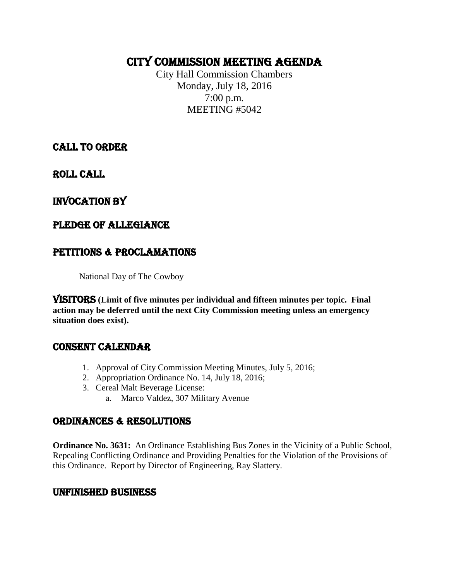# CITY COMMISSION MEETING AGENDA

City Hall Commission Chambers Monday, July 18, 2016 7:00 p.m. MEETING #5042

CALL TO ORDER

ROLL CALL

# INVOCATION by

# PLEDGE OF ALLEGIANCE

# PETITIONS & PROCLAMATIONS

National Day of The Cowboy

VISITORS **(Limit of five minutes per individual and fifteen minutes per topic. Final action may be deferred until the next City Commission meeting unless an emergency situation does exist).**

## CONSENT CALENDAR

- 1. Approval of City Commission Meeting Minutes, July 5, 2016;
- 2. Appropriation Ordinance No. 14, July 18, 2016;
- 3. Cereal Malt Beverage License:
	- a. Marco Valdez, 307 Military Avenue

## ORDINANCES & RESOLUTIONS

**Ordinance No. 3631:** An Ordinance Establishing Bus Zones in the Vicinity of a Public School, Repealing Conflicting Ordinance and Providing Penalties for the Violation of the Provisions of this Ordinance. Report by Director of Engineering, Ray Slattery.

#### UNFINISHED BUSINESS